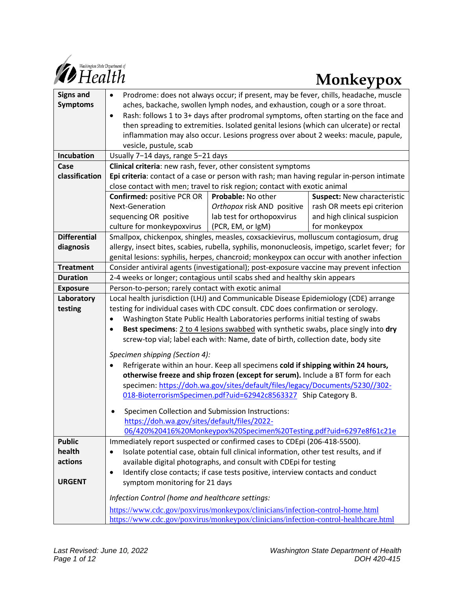

| <b>Signs and</b>              | Prodrome: does not always occur; if present, may be fever, chills, headache, muscle<br>٠                                                                                                   |                            |                                    |
|-------------------------------|--------------------------------------------------------------------------------------------------------------------------------------------------------------------------------------------|----------------------------|------------------------------------|
| <b>Symptoms</b>               | aches, backache, swollen lymph nodes, and exhaustion, cough or a sore throat.                                                                                                              |                            |                                    |
|                               | Rash: follows 1 to 3+ days after prodromal symptoms, often starting on the face and<br>$\bullet$                                                                                           |                            |                                    |
|                               | then spreading to extremities. Isolated genital lesions (which can ulcerate) or rectal                                                                                                     |                            |                                    |
|                               | inflammation may also occur. Lesions progress over about 2 weeks: macule, papule,                                                                                                          |                            |                                    |
|                               | vesicle, pustule, scab                                                                                                                                                                     |                            |                                    |
| Incubation                    | Usually 7-14 days, range 5-21 days                                                                                                                                                         |                            |                                    |
| Case                          | Clinical criteria: new rash, fever, other consistent symptoms                                                                                                                              |                            |                                    |
| classification                | Epi criteria: contact of a case or person with rash; man having regular in-person intimate                                                                                                 |                            |                                    |
|                               | close contact with men; travel to risk region; contact with exotic animal                                                                                                                  |                            |                                    |
|                               | <b>Confirmed: positive PCR OR</b>                                                                                                                                                          | Probable: No other         | <b>Suspect: New characteristic</b> |
|                               | Next-Generation                                                                                                                                                                            | Orthopox risk AND positive | rash OR meets epi criterion        |
|                               | sequencing OR positive                                                                                                                                                                     | lab test for orthopoxvirus | and high clinical suspicion        |
|                               | culture for monkeypoxvirus                                                                                                                                                                 | (PCR, EM, or IgM)          | for monkeypox                      |
| <b>Differential</b>           | Smallpox, chickenpox, shingles, measles, coxsackievirus, molluscum contagiosum, drug                                                                                                       |                            |                                    |
| diagnosis                     | allergy, insect bites, scabies, rubella, syphilis, mononucleosis, impetigo, scarlet fever; for<br>genital lesions: syphilis, herpes, chancroid; monkeypox can occur with another infection |                            |                                    |
| <b>Treatment</b>              | Consider antiviral agents (investigational); post-exposure vaccine may prevent infection                                                                                                   |                            |                                    |
| <b>Duration</b>               | 2-4 weeks or longer; contagious until scabs shed and healthy skin appears                                                                                                                  |                            |                                    |
|                               |                                                                                                                                                                                            |                            |                                    |
| <b>Exposure</b><br>Laboratory | Person-to-person; rarely contact with exotic animal<br>Local health jurisdiction (LHJ) and Communicable Disease Epidemiology (CDE) arrange                                                 |                            |                                    |
| testing                       | testing for individual cases with CDC consult. CDC does confirmation or serology.                                                                                                          |                            |                                    |
|                               | Washington State Public Health Laboratories performs initial testing of swabs                                                                                                              |                            |                                    |
|                               | Best specimens: 2 to 4 lesions swabbed with synthetic swabs, place singly into dry<br>$\bullet$                                                                                            |                            |                                    |
|                               | screw-top vial; label each with: Name, date of birth, collection date, body site                                                                                                           |                            |                                    |
|                               |                                                                                                                                                                                            |                            |                                    |
|                               | Specimen shipping (Section 4):                                                                                                                                                             |                            |                                    |
|                               | Refrigerate within an hour. Keep all specimens cold if shipping within 24 hours,                                                                                                           |                            |                                    |
|                               | otherwise freeze and ship frozen (except for serum). Include a BT form for each                                                                                                            |                            |                                    |
|                               | specimen: https://doh.wa.gov/sites/default/files/legacy/Documents/5230//302-                                                                                                               |                            |                                    |
|                               | 018-BioterrorismSpecimen.pdf?uid=62942c8563327 Ship Category B.                                                                                                                            |                            |                                    |
|                               | Specimen Collection and Submission Instructions:<br>$\bullet$                                                                                                                              |                            |                                    |
|                               | https://doh.wa.gov/sites/default/files/2022-                                                                                                                                               |                            |                                    |
|                               | 06/420%20416%20Monkeypox%20Specimen%20Testing.pdf?uid=6297e8f61c21e                                                                                                                        |                            |                                    |
| <b>Public</b>                 | Immediately report suspected or confirmed cases to CDEpi (206-418-5500).                                                                                                                   |                            |                                    |
| health                        | Isolate potential case, obtain full clinical information, other test results, and if                                                                                                       |                            |                                    |
| actions                       | available digital photographs, and consult with CDEpi for testing                                                                                                                          |                            |                                    |
|                               | Identify close contacts; if case tests positive, interview contacts and conduct<br>$\bullet$                                                                                               |                            |                                    |
| <b>URGENT</b>                 | symptom monitoring for 21 days                                                                                                                                                             |                            |                                    |
|                               | Infection Control (home and healthcare settings:                                                                                                                                           |                            |                                    |
|                               | https://www.cdc.gov/poxvirus/monkeypox/clinicians/infection-control-home.html                                                                                                              |                            |                                    |
|                               | https://www.cdc.gov/poxvirus/monkeypox/clinicians/infection-control-healthcare.html                                                                                                        |                            |                                    |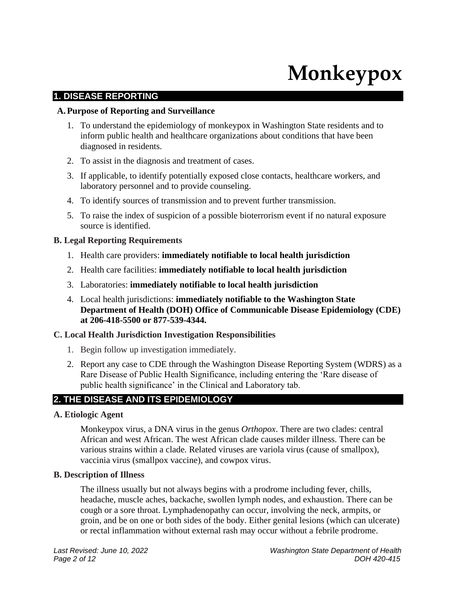# **Monkeypox**

# **1. DISEASE REPORTING**

#### **A.Purpose of Reporting and Surveillance**

- 1. To understand the epidemiology of monkeypox in Washington State residents and to inform public health and healthcare organizations about conditions that have been diagnosed in residents.
- 2. To assist in the diagnosis and treatment of cases.
- 3. If applicable, to identify potentially exposed close contacts, healthcare workers, and laboratory personnel and to provide counseling.
- 4. To identify sources of transmission and to prevent further transmission.
- 5. To raise the index of suspicion of a possible bioterrorism event if no natural exposure source is identified.

#### **B. Legal Reporting Requirements**

- 1. Health care providers: **immediately notifiable to local health jurisdiction**
- 2. Health care facilities: **immediately notifiable to local health jurisdiction**
- 3. Laboratories: **immediately notifiable to local health jurisdiction**
- 4. Local health jurisdictions: **immediately notifiable to the Washington State Department of Health (DOH) Office of Communicable Disease Epidemiology (CDE) at 206-418-5500 or 877-539-4344.**

#### **C. Local Health Jurisdiction Investigation Responsibilities**

- 1. Begin follow up investigation immediately.
- 2. Report any case to CDE through the Washington Disease Reporting System (WDRS) as a Rare Disease of Public Health Significance, including entering the 'Rare disease of public health significance' in the Clinical and Laboratory tab.

# **2. THE DISEASE AND ITS EPIDEMIOLOGY**

#### **A. Etiologic Agent**

Monkeypox virus, a DNA virus in the genus *Orthopox*. There are two clades: central African and west African. The west African clade causes milder illness. There can be various strains within a clade. Related viruses are variola virus (cause of smallpox), vaccinia virus (smallpox vaccine), and cowpox virus.

#### **B. Description of Illness**

The illness usually but not always begins with a prodrome including fever, chills, headache, muscle aches, backache, swollen lymph nodes, and exhaustion. There can be cough or a sore throat. Lymphadenopathy can occur, involving the neck, armpits, or groin, and be on one or both sides of the body. Either genital lesions (which can ulcerate) or rectal inflammation without external rash may occur without a febrile prodrome.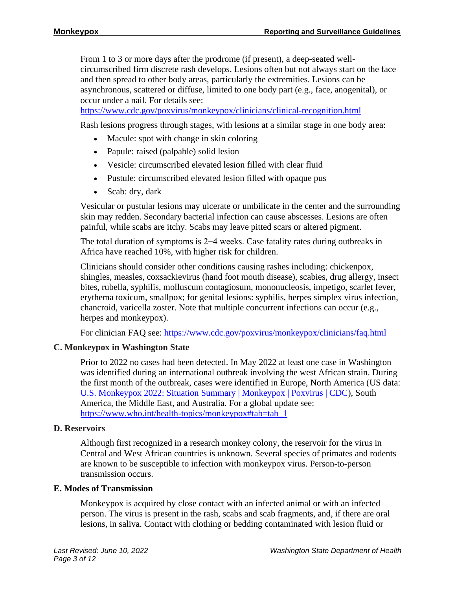From 1 to 3 or more days after the prodrome (if present), a deep-seated wellcircumscribed firm discrete rash develops. Lesions often but not always start on the face and then spread to other body areas, particularly the extremities. Lesions can be asynchronous, scattered or diffuse, limited to one body part (e.g., face, anogenital), or occur under a nail. For details see:

<https://www.cdc.gov/poxvirus/monkeypox/clinicians/clinical-recognition.html>

Rash lesions progress through stages, with lesions at a similar stage in one body area:

- Macule: spot with change in skin coloring
- Papule: raised (palpable) solid lesion
- Vesicle: circumscribed elevated lesion filled with clear fluid
- Pustule: circumscribed elevated lesion filled with opaque pus
- Scab: dry, dark

Vesicular or pustular lesions may ulcerate or umbilicate in the center and the surrounding skin may redden. Secondary bacterial infection can cause abscesses. Lesions are often painful, while scabs are itchy. Scabs may leave pitted scars or altered pigment.

The total duration of symptoms is 2−4 weeks. Case fatality rates during outbreaks in Africa have reached 10%, with higher risk for children.

Clinicians should consider other conditions causing rashes including: chickenpox, shingles, measles, coxsackievirus (hand foot mouth disease), scabies, drug allergy, insect bites, rubella, syphilis, molluscum contagiosum, mononucleosis, impetigo, scarlet fever, erythema toxicum, smallpox; for genital lesions: syphilis, herpes simplex virus infection, chancroid, varicella zoster. Note that multiple concurrent infections can occur (e.g., herpes and monkeypox).

For clinician FAQ see:<https://www.cdc.gov/poxvirus/monkeypox/clinicians/faq.html>

# **C. Monkeypox in Washington State**

Prior to 2022 no cases had been detected. In May 2022 at least one case in Washington was identified during an international outbreak involving the west African strain. During the first month of the outbreak, cases were identified in Europe, North America (US data: [U.S. Monkeypox 2022: Situation Summary | Monkeypox | Poxvirus | CDC\)](https://www.cdc.gov/poxvirus/monkeypox/response/2022/index.html), South America, the Middle East, and Australia. For a global update see: [https://www.who.int/health-topics/monkeypox#tab=tab\\_1](https://www.who.int/health-topics/monkeypox#tab=tab_1)

#### **D. Reservoirs**

Although first recognized in a research monkey colony, the reservoir for the virus in Central and West African countries is unknown. Several species of primates and rodents are known to be susceptible to infection with monkeypox virus. Person-to-person transmission occurs.

#### **E. Modes of Transmission**

Monkeypox is acquired by close contact with an infected animal or with an infected person. The virus is present in the rash, scabs and scab fragments, and, if there are oral lesions, in saliva. Contact with clothing or bedding contaminated with lesion fluid or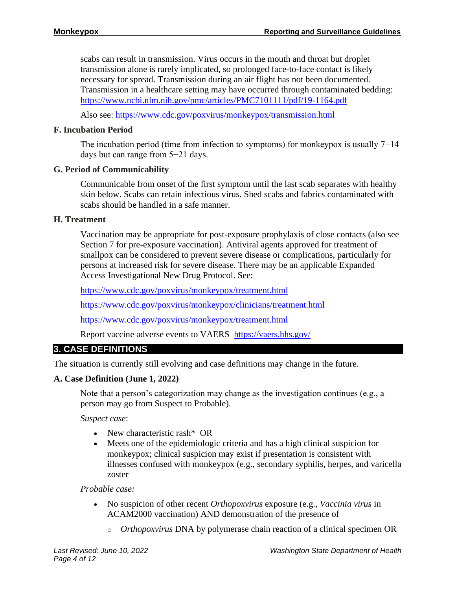scabs can result in transmission. Virus occurs in the mouth and throat but droplet transmission alone is rarely implicated, so prolonged face-to-face contact is likely necessary for spread. Transmission during an air flight has not been documented. Transmission in a healthcare setting may have occurred through contaminated bedding: <https://www.ncbi.nlm.nih.gov/pmc/articles/PMC7101111/pdf/19-1164.pdf>

Also see:<https://www.cdc.gov/poxvirus/monkeypox/transmission.html>

# **F. Incubation Period**

The incubation period (time from infection to symptoms) for monkeypox is usually 7–14 days but can range from 5−21 days.

# **G. Period of Communicability**

Communicable from onset of the first symptom until the last scab separates with healthy skin below. Scabs can retain infectious virus. Shed scabs and fabrics contaminated with scabs should be handled in a safe manner.

# **H. Treatment**

Vaccination may be appropriate for post-exposure prophylaxis of close contacts (also see Section 7 for pre-exposure vaccination). Antiviral agents approved for treatment of smallpox can be considered to prevent severe disease or complications, particularly for persons at increased risk for severe disease. There may be an applicable Expanded Access Investigational New Drug Protocol. See:

<https://www.cdc.gov/poxvirus/monkeypox/treatment.html>

<https://www.cdc.gov/poxvirus/monkeypox/clinicians/treatment.html>

<https://www.cdc.gov/poxvirus/monkeypox/treatment.html>

Report vaccine adverse events to VAERS [https://vaers.hhs.gov/](https://gcc02.safelinks.protection.outlook.com/?url=https%3A%2F%2Fvaers.hhs.gov%2F&data=05%7C01%7CMarcia.Goldoft%40DOH.WA.GOV%7Cb2f0fface6ef483ce8e008da4a42317a%7C11d0e217264e400a8ba057dcc127d72d%7C0%7C0%7C637903945409803530%7CUnknown%7CTWFpbGZsb3d8eyJWIjoiMC4wLjAwMDAiLCJQIjoiV2luMzIiLCJBTiI6Ik1haWwiLCJXVCI6Mn0%3D%7C3000%7C%7C%7C&sdata=hufE8hnpHgA9LW5RTg8%2Fm37FauzDRaVKYpciHWPa4ss%3D&reserved=0)

# **3. CASE DEFINITIONS**

The situation is currently still evolving and case definitions may change in the future.

# **A. Case Definition (June 1, 2022)**

Note that a person's categorization may change as the investigation continues (e.g., a person may go from Suspect to Probable).

*Suspect case*:

- New characteristic rash\* OR
- Meets one of the epidemiologic criteria and has a high clinical suspicion for monkeypox; clinical suspicion may exist if presentation is consistent with illnesses confused with monkeypox (e.g., secondary syphilis, herpes, and varicella zoster

# *Probable case:*

- No suspicion of other recent *Orthopoxvirus* exposure (e.g., *Vaccinia virus* in ACAM2000 vaccination) AND demonstration of the presence of
	- o *Orthopoxvirus* DNA by polymerase chain reaction of a clinical specimen OR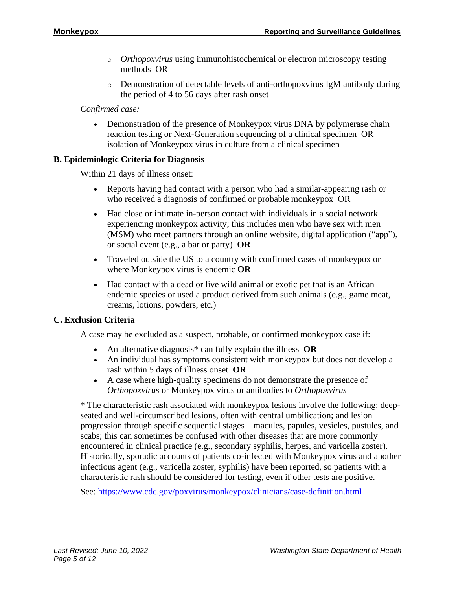- o *Orthopoxvirus* using immunohistochemical or electron microscopy testing methods OR
- o Demonstration of detectable levels of anti-orthopoxvirus IgM antibody during the period of 4 to 56 days after rash onset

# *Confirmed case:*

• Demonstration of the presence of Monkeypox virus DNA by polymerase chain reaction testing or Next-Generation sequencing of a clinical specimen OR isolation of Monkeypox virus in culture from a clinical specimen

# **B. Epidemiologic Criteria for Diagnosis**

Within 21 days of illness onset:

- Reports having had contact with a person who had a similar-appearing rash or who received a diagnosis of confirmed or probable monkeypox OR
- Had close or intimate in-person contact with individuals in a social network experiencing monkeypox activity; this includes men who have sex with men (MSM) who meet partners through an online website, digital application ("app"), or social event (e.g., a bar or party) **OR**
- Traveled outside the US to a country with confirmed cases of monkeypox or where Monkeypox virus is endemic **OR**
- Had contact with a dead or live wild animal or exotic pet that is an African endemic species or used a product derived from such animals (e.g., game meat, creams, lotions, powders, etc.)

# **C. Exclusion Criteria**

A case may be excluded as a suspect, probable, or confirmed monkeypox case if:

- An alternative diagnosis\* can fully explain the illness **OR**
- An individual has symptoms consistent with monkeypox but does not develop a rash within 5 days of illness onset **OR**
- A case where high-quality specimens do not demonstrate the presence of *Orthopoxvirus* or Monkeypox virus or antibodies to *Orthopoxvirus*

\* The characteristic rash associated with monkeypox lesions involve the following: deepseated and well-circumscribed lesions, often with central umbilication; and lesion progression through specific sequential stages—macules, papules, vesicles, pustules, and scabs; this can sometimes be confused with other diseases that are more commonly encountered in clinical practice (e.g., secondary syphilis, herpes, and varicella zoster). Historically, sporadic accounts of patients co-infected with Monkeypox virus and another infectious agent (e.g., varicella zoster, syphilis) have been reported, so patients with a characteristic rash should be considered for testing, even if other tests are positive.

See:<https://www.cdc.gov/poxvirus/monkeypox/clinicians/case-definition.html>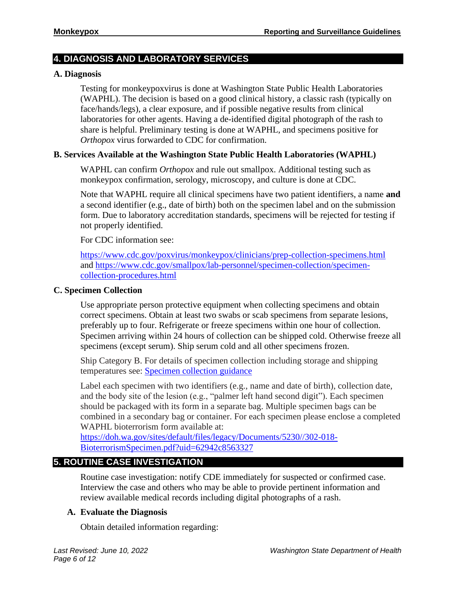# **4. DIAGNOSIS AND LABORATORY SERVICES**

# **A. Diagnosis**

Testing for monkeypoxvirus is done at Washington State Public Health Laboratories (WAPHL). The decision is based on a good clinical history, a classic rash (typically on face/hands/legs), a clear exposure, and if possible negative results from clinical laboratories for other agents. Having a de-identified digital photograph of the rash to share is helpful. Preliminary testing is done at WAPHL, and specimens positive for *Orthopox* virus forwarded to CDC for confirmation.

# **B. Services Available at the Washington State Public Health Laboratories (WAPHL)**

WAPHL can confirm *Orthopox* and rule out smallpox. Additional testing such as monkeypox confirmation, serology, microscopy, and culture is done at CDC.

Note that WAPHL require all clinical specimens have two patient identifiers, a name **and**  a second identifier (e.g., date of birth) both on the specimen label and on the submission form. Due to laboratory accreditation standards, specimens will be rejected for testing if not properly identified.

For CDC information see:

<https://www.cdc.gov/poxvirus/monkeypox/clinicians/prep-collection-specimens.html> and [https://www.cdc.gov/smallpox/lab-personnel/specimen-collection/specimen](https://www.cdc.gov/smallpox/lab-personnel/specimen-collection/specimen-collection-procedures.html)[collection-procedures.html](https://www.cdc.gov/smallpox/lab-personnel/specimen-collection/specimen-collection-procedures.html)

# **C. Specimen Collection**

Use appropriate person protective equipment when collecting specimens and obtain correct specimens. Obtain at least two swabs or scab specimens from separate lesions, preferably up to four. Refrigerate or freeze specimens within one hour of collection. Specimen arriving within 24 hours of collection can be shipped cold. Otherwise freeze all specimens (except serum). Ship serum cold and all other specimens frozen.

Ship Category B. For details of specimen collection including storage and shipping temperatures see: **Specimen collection guidance** 

Label each specimen with two identifiers (e.g., name and date of birth), collection date, and the body site of the lesion (e.g., "palmer left hand second digit"). Each specimen should be packaged with its form in a separate bag. Multiple specimen bags can be combined in a secondary bag or container. For each specimen please enclose a completed WAPHL bioterrorism form available at:

[https://doh.wa.gov/sites/default/files/legacy/Documents/5230//302-018-](https://doh.wa.gov/sites/default/files/legacy/Documents/5230/302-018-BioterrorismSpecimen.pdf?uid=62942c8563327) [BioterrorismSpecimen.pdf?uid=62942c8563327](https://doh.wa.gov/sites/default/files/legacy/Documents/5230/302-018-BioterrorismSpecimen.pdf?uid=62942c8563327)

# **5. ROUTINE CASE INVESTIGATION**

Routine case investigation: notify CDE immediately for suspected or confirmed case. Interview the case and others who may be able to provide pertinent information and review available medical records including digital photographs of a rash.

# **A. Evaluate the Diagnosis**

Obtain detailed information regarding: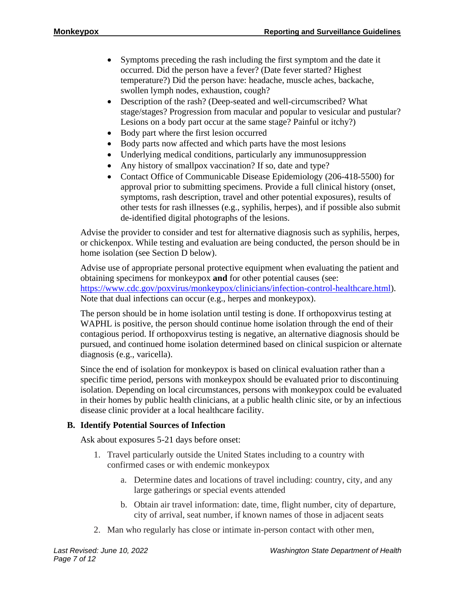- Symptoms preceding the rash including the first symptom and the date it occurred. Did the person have a fever? (Date fever started? Highest temperature?) Did the person have: headache, muscle aches, backache, swollen lymph nodes, exhaustion, cough?
- Description of the rash? (Deep-seated and well-circumscribed? What stage/stages? Progression from macular and popular to vesicular and pustular? Lesions on a body part occur at the same stage? Painful or itchy?)
- Body part where the first lesion occurred
- Body parts now affected and which parts have the most lesions
- Underlying medical conditions, particularly any immunosuppression
- Any history of smallpox vaccination? If so, date and type?
- Contact Office of Communicable Disease Epidemiology (206-418-5500) for approval prior to submitting specimens. Provide a full clinical history (onset, symptoms, rash description, travel and other potential exposures), results of other tests for rash illnesses (e.g., syphilis, herpes), and if possible also submit de-identified digital photographs of the lesions.

Advise the provider to consider and test for alternative diagnosis such as syphilis, herpes, or chickenpox. While testing and evaluation are being conducted, the person should be in home isolation (see Section D below).

Advise use of appropriate personal protective equipment when evaluating the patient and obtaining specimens for monkeypox **and** for other potential causes (see: [https://www.cdc.gov/poxvirus/monkeypox/clinicians/infection-control-healthcare.html\)](https://www.cdc.gov/poxvirus/monkeypox/clinicians/infection-control-healthcare.html). Note that dual infections can occur (e.g., herpes and monkeypox).

The person should be in home isolation until testing is done. If orthopoxvirus testing at WAPHL is positive, the person should continue home isolation through the end of their contagious period. If orthopoxvirus testing is negative, an alternative diagnosis should be pursued, and continued home isolation determined based on clinical suspicion or alternate diagnosis (e.g., varicella).

Since the end of isolation for monkeypox is based on clinical evaluation rather than a specific time period, persons with monkeypox should be evaluated prior to discontinuing isolation. Depending on local circumstances, persons with monkeypox could be evaluated in their homes by public health clinicians, at a public health clinic site, or by an infectious disease clinic provider at a local healthcare facility.

# **B. Identify Potential Sources of Infection**

Ask about exposures 5-21 days before onset:

- 1. Travel particularly outside the United States including to a country with confirmed cases or with endemic monkeypox
	- a. Determine dates and locations of travel including: country, city, and any large gatherings or special events attended
	- b. Obtain air travel information: date, time, flight number, city of departure, city of arrival, seat number, if known names of those in adjacent seats
- 2. Man who regularly has close or intimate in-person contact with other men,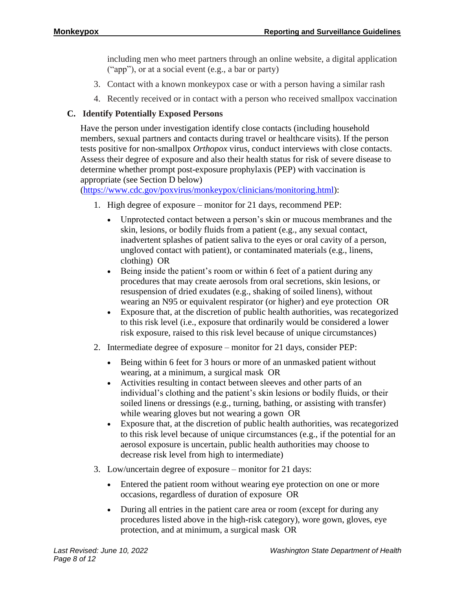including men who meet partners through an online website, a digital application ("app"), or at a social event (e.g., a bar or party)

- 3. Contact with a known monkeypox case or with a person having a similar rash
- 4. Recently received or in contact with a person who received smallpox vaccination

# **C. Identify Potentially Exposed Persons**

Have the person under investigation identify close contacts (including household members, sexual partners and contacts during travel or healthcare visits). If the person tests positive for non-smallpox *Orthopox* virus, conduct interviews with close contacts. Assess their degree of exposure and also their health status for risk of severe disease to determine whether prompt post-exposure prophylaxis (PEP) with vaccination is appropriate (see Section D below)

[\(https://www.cdc.gov/poxvirus/monkeypox/clinicians/monitoring.html\)](https://www.cdc.gov/poxvirus/monkeypox/clinicians/monitoring.html):

- 1. High degree of exposure monitor for 21 days, recommend PEP:
	- Unprotected contact between a person's skin or mucous membranes and the skin, lesions, or bodily fluids from a patient (e.g., any sexual contact, inadvertent splashes of patient saliva to the eyes or oral cavity of a person, ungloved contact with patient), or contaminated materials (e.g., linens, clothing) OR
	- Being inside the patient's room or within 6 feet of a patient during any procedures that may create aerosols from oral secretions, skin lesions, or resuspension of dried exudates (e.g., shaking of soiled linens), without wearing an N95 or equivalent respirator (or higher) and eye protection OR
	- Exposure that, at the discretion of public health authorities, was recategorized to this risk level (i.e., exposure that ordinarily would be considered a lower risk exposure, raised to this risk level because of unique circumstances)
- 2. Intermediate degree of exposure monitor for 21 days, consider PEP:
	- Being within 6 feet for 3 hours or more of an unmasked patient without wearing, at a minimum, a surgical mask OR
	- Activities resulting in contact between sleeves and other parts of an individual's clothing and the patient's skin lesions or bodily fluids, or their soiled linens or dressings (e.g., turning, bathing, or assisting with transfer) while wearing gloves but not wearing a gown OR
	- Exposure that, at the discretion of public health authorities, was recategorized to this risk level because of unique circumstances (e.g., if the potential for an aerosol exposure is uncertain, public health authorities may choose to decrease risk level from high to intermediate)
- 3. Low/uncertain degree of exposure monitor for 21 days:
	- Entered the patient room without wearing eye protection on one or more occasions, regardless of duration of exposure OR
	- During all entries in the patient care area or room (except for during any procedures listed above in the high-risk category), wore gown, gloves, eye protection, and at minimum, a surgical mask OR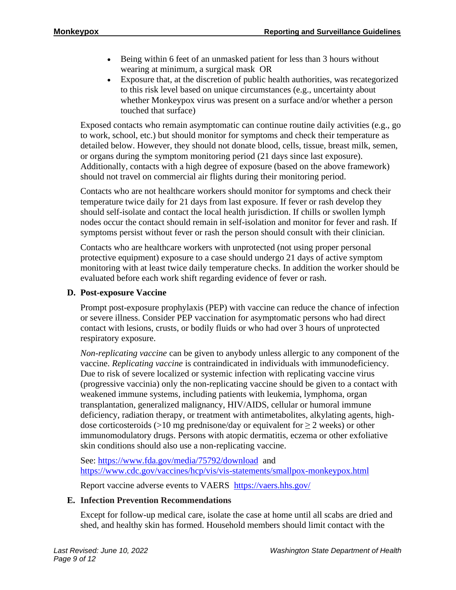- Being within 6 feet of an unmasked patient for less than 3 hours without wearing at minimum, a surgical mask OR
- Exposure that, at the discretion of public health authorities, was recategorized to this risk level based on unique circumstances (e.g., uncertainty about whether Monkeypox virus was present on a surface and/or whether a person touched that surface)

Exposed contacts who remain asymptomatic can continue routine daily activities (e.g., go to work, school, etc.) but should monitor for symptoms and check their temperature as detailed below. However, they should not donate blood, cells, tissue, breast milk, semen, or organs during the symptom monitoring period (21 days since last exposure). Additionally, contacts with a high degree of exposure (based on the above framework) should not travel on commercial air flights during their monitoring period.

Contacts who are not healthcare workers should monitor for symptoms and check their temperature twice daily for 21 days from last exposure. If fever or rash develop they should self-isolate and contact the local health jurisdiction. If chills or swollen lymph nodes occur the contact should remain in self-isolation and monitor for fever and rash. If symptoms persist without fever or rash the person should consult with their clinician.

Contacts who are healthcare workers with unprotected (not using proper personal protective equipment) exposure to a case should undergo 21 days of active symptom monitoring with at least twice daily temperature checks. In addition the worker should be evaluated before each work shift regarding evidence of fever or rash.

# **D. Post-exposure Vaccine**

Prompt post-exposure prophylaxis (PEP) with vaccine can reduce the chance of infection or severe illness. Consider PEP vaccination for asymptomatic persons who had direct contact with lesions, crusts, or bodily fluids or who had over 3 hours of unprotected respiratory exposure.

*Non-replicating vaccine* can be given to anybody unless allergic to any component of the vaccine. *Replicating vaccine* is contraindicated in individuals with immunodeficiency. Due to risk of severe localized or systemic infection with replicating vaccine virus (progressive vaccinia) only the non-replicating vaccine should be given to a contact with weakened immune systems, including patients with leukemia, lymphoma, organ transplantation, generalized malignancy, HIV/AIDS, cellular or humoral immune deficiency, radiation therapy, or treatment with antimetabolites, alkylating agents, highdose corticosteroids (>10 mg prednisone/day or equivalent for  $\geq$  2 weeks) or other immunomodulatory drugs. Persons with atopic dermatitis, eczema or other exfoliative skin conditions should also use a non-replicating vaccine.

See:<https://www.fda.gov/media/75792/download> and <https://www.cdc.gov/vaccines/hcp/vis/vis-statements/smallpox-monkeypox.html>

Report vaccine adverse events to VAERS [https://vaers.hhs.gov/](https://gcc02.safelinks.protection.outlook.com/?url=https%3A%2F%2Fvaers.hhs.gov%2F&data=05%7C01%7CMarcia.Goldoft%40DOH.WA.GOV%7Cb2f0fface6ef483ce8e008da4a42317a%7C11d0e217264e400a8ba057dcc127d72d%7C0%7C0%7C637903945409803530%7CUnknown%7CTWFpbGZsb3d8eyJWIjoiMC4wLjAwMDAiLCJQIjoiV2luMzIiLCJBTiI6Ik1haWwiLCJXVCI6Mn0%3D%7C3000%7C%7C%7C&sdata=hufE8hnpHgA9LW5RTg8%2Fm37FauzDRaVKYpciHWPa4ss%3D&reserved=0)

# **E. Infection Prevention Recommendations**

Except for follow-up medical care, isolate the case at home until all scabs are dried and shed, and healthy skin has formed. Household members should limit contact with the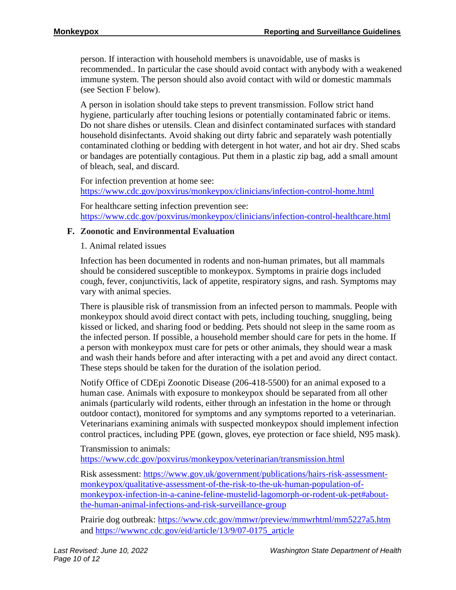person. If interaction with household members is unavoidable, use of masks is recommended.. In particular the case should avoid contact with anybody with a weakened immune system. The person should also avoid contact with wild or domestic mammals (see Section F below).

A person in isolation should take steps to prevent transmission. Follow strict hand hygiene, particularly after touching lesions or potentially contaminated fabric or items. Do not share dishes or utensils. Clean and disinfect contaminated surfaces with standard household disinfectants. Avoid shaking out dirty fabric and separately wash potentially contaminated clothing or bedding with detergent in hot water, and hot air dry. Shed scabs or bandages are potentially contagious. Put them in a plastic zip bag, add a small amount of bleach, seal, and discard.

For infection prevention at home see:

<https://www.cdc.gov/poxvirus/monkeypox/clinicians/infection-control-home.html>

For healthcare setting infection prevention see: <https://www.cdc.gov/poxvirus/monkeypox/clinicians/infection-control-healthcare.html>

# **F. Zoonotic and Environmental Evaluation**

1. Animal related issues

Infection has been documented in rodents and non-human primates, but all mammals should be considered susceptible to monkeypox. Symptoms in prairie dogs included cough, fever, conjunctivitis, lack of appetite, respiratory signs, and rash. Symptoms may vary with animal species.

There is plausible risk of transmission from an infected person to mammals. People with monkeypox should avoid direct contact with pets, including touching, snuggling, being kissed or licked, and sharing food or bedding. Pets should not sleep in the same room as the infected person. If possible, a household member should care for pets in the home. If a person with monkeypox must care for pets or other animals, they should wear a mask and wash their hands before and after interacting with a pet and avoid any direct contact. These steps should be taken for the duration of the isolation period.

Notify Office of CDEpi Zoonotic Disease (206-418-5500) for an animal exposed to a human case. Animals with exposure to monkeypox should be separated from all other animals (particularly wild rodents, either through an infestation in the home or through outdoor contact), monitored for symptoms and any symptoms reported to a veterinarian. Veterinarians examining animals with suspected monkeypox should implement infection control practices, including PPE (gown, gloves, eye protection or face shield, N95 mask).

Transmission to animals: <https://www.cdc.gov/poxvirus/monkeypox/veterinarian/transmission.html>

Risk assessment: [https://www.gov.uk/government/publications/hairs-risk-assessment](https://www.gov.uk/government/publications/hairs-risk-assessment-monkeypox/qualitative-assessment-of-the-risk-to-the-uk-human-population-of-monkeypox-infection-in-a-canine-feline-mustelid-lagomorph-or-rodent-uk-pet#about-the-human-animal-infections-and-risk-surveillance-group)[monkeypox/qualitative-assessment-of-the-risk-to-the-uk-human-population-of](https://www.gov.uk/government/publications/hairs-risk-assessment-monkeypox/qualitative-assessment-of-the-risk-to-the-uk-human-population-of-monkeypox-infection-in-a-canine-feline-mustelid-lagomorph-or-rodent-uk-pet#about-the-human-animal-infections-and-risk-surveillance-group)[monkeypox-infection-in-a-canine-feline-mustelid-lagomorph-or-rodent-uk-pet#about](https://www.gov.uk/government/publications/hairs-risk-assessment-monkeypox/qualitative-assessment-of-the-risk-to-the-uk-human-population-of-monkeypox-infection-in-a-canine-feline-mustelid-lagomorph-or-rodent-uk-pet#about-the-human-animal-infections-and-risk-surveillance-group)[the-human-animal-infections-and-risk-surveillance-group](https://www.gov.uk/government/publications/hairs-risk-assessment-monkeypox/qualitative-assessment-of-the-risk-to-the-uk-human-population-of-monkeypox-infection-in-a-canine-feline-mustelid-lagomorph-or-rodent-uk-pet#about-the-human-animal-infections-and-risk-surveillance-group)

Prairie dog outbreak:<https://www.cdc.gov/mmwr/preview/mmwrhtml/mm5227a5.htm> and [https://wwwnc.cdc.gov/eid/article/13/9/07-0175\\_article](https://wwwnc.cdc.gov/eid/article/13/9/07-0175_article)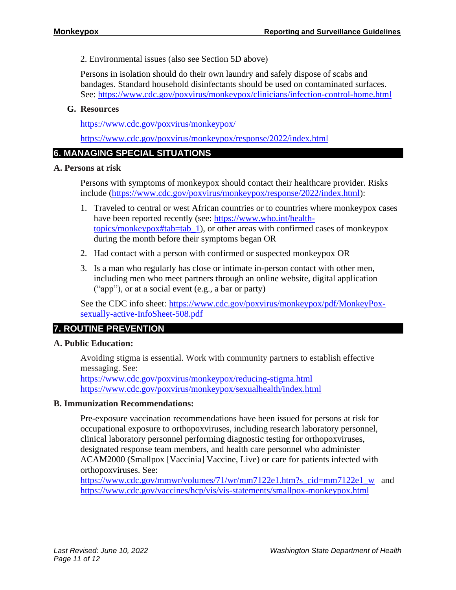2. Environmental issues (also see Section 5D above)

Persons in isolation should do their own laundry and safely dispose of scabs and bandages. Standard household disinfectants should be used on contaminated surfaces. See:<https://www.cdc.gov/poxvirus/monkeypox/clinicians/infection-control-home.html>

# **G. Resources**

<https://www.cdc.gov/poxvirus/monkeypox/>

<https://www.cdc.gov/poxvirus/monkeypox/response/2022/index.html>

# **6. MANAGING SPECIAL SITUATIONS**

# **A. Persons at risk**

Persons with symptoms of monkeypox should contact their healthcare provider. Risks include [\(https://www.cdc.gov/poxvirus/monkeypox/response/2022/index.html\)](https://www.cdc.gov/poxvirus/monkeypox/response/2022/index.html):

- 1. Traveled to central or west African countries or to countries where monkeypox cases have been reported recently (see: [https://www.who.int/health](https://www.who.int/health-topics/monkeypox#tab=tab_1)[topics/monkeypox#tab=tab\\_1\)](https://www.who.int/health-topics/monkeypox#tab=tab_1), or other areas with confirmed cases of monkeypox during the month before their symptoms began OR
- 2. Had contact with a person with confirmed or suspected monkeypox OR
- 3. Is a man who regularly has close or intimate in-person contact with other men, including men who meet partners through an online website, digital application ("app"), or at a social event (e.g., a bar or party)

See the CDC info sheet: [https://www.cdc.gov/poxvirus/monkeypox/pdf/MonkeyPox](https://www.cdc.gov/poxvirus/monkeypox/pdf/MonkeyPox-sexually-active-InfoSheet-508.pdf)[sexually-active-InfoSheet-508.pdf](https://www.cdc.gov/poxvirus/monkeypox/pdf/MonkeyPox-sexually-active-InfoSheet-508.pdf)

# **7. ROUTINE PREVENTION**

# **A. Public Education:**

Avoiding stigma is essential. Work with community partners to establish effective messaging. See:

[https://www.cdc.gov/poxvirus/monkeypox/reducing-stigma.html](https://gcc02.safelinks.protection.outlook.com/?url=https%3A%2F%2Fwww.cdc.gov%2Fpoxvirus%2Fmonkeypox%2Freducing-stigma.html&data=05%7C01%7CMarcia.Goldoft%40DOH.WA.GOV%7Cb2f0fface6ef483ce8e008da4a42317a%7C11d0e217264e400a8ba057dcc127d72d%7C0%7C0%7C637903945409803530%7CUnknown%7CTWFpbGZsb3d8eyJWIjoiMC4wLjAwMDAiLCJQIjoiV2luMzIiLCJBTiI6Ik1haWwiLCJXVCI6Mn0%3D%7C3000%7C%7C%7C&sdata=OsCjXUQdg5rubRtuWMigCrdZrHPtRLmZXxuuVk%2Bkt%2Bo%3D&reserved=0) <https://www.cdc.gov/poxvirus/monkeypox/sexualhealth/index.html>

# **B. Immunization Recommendations:**

Pre-exposure vaccination recommendations have been issued for persons at risk for occupational exposure to orthopoxviruses, including research laboratory personnel, clinical laboratory personnel performing diagnostic testing for orthopoxviruses, designated response team members, and health care personnel who administer ACAM2000 (Smallpox [Vaccinia] Vaccine, Live) or care for patients infected with orthopoxviruses. See:

[https://www.cdc.gov/mmwr/volumes/71/wr/mm7122e1.htm?s\\_cid=mm7122e1\\_w](https://www.cdc.gov/mmwr/volumes/71/wr/mm7122e1.htm?s_cid=mm7122e1_w) and <https://www.cdc.gov/vaccines/hcp/vis/vis-statements/smallpox-monkeypox.html>